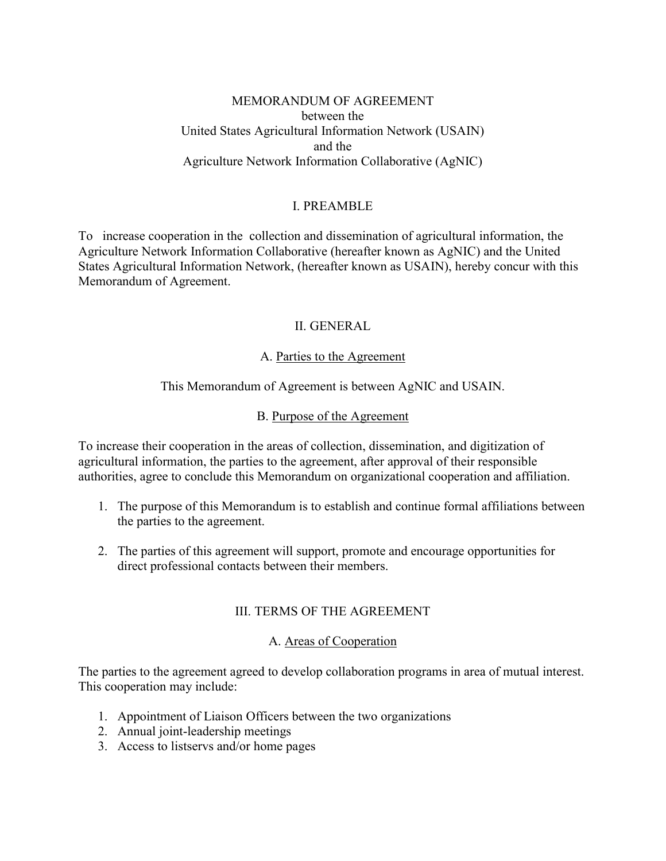#### MEMORANDUM OF AGREEMENT between the United States Agricultural Information Network (USAIN) and the Agriculture Network Information Collaborative (AgNIC)

### I. PREAMBLE

To increase cooperation in the collection and dissemination of agricultural information, the Agriculture Network Information Collaborative (hereafter known as AgNIC) and the United States Agricultural Information Network, (hereafter known as USAIN), hereby concur with this Memorandum of Agreement.

# II. GENERAL

### A. Parties to the Agreement

# This Memorandum of Agreement is between AgNIC and USAIN.

### B. Purpose of the Agreement

To increase their cooperation in the areas of collection, dissemination, and digitization of agricultural information, the parties to the agreement, after approval of their responsible authorities, agree to conclude this Memorandum on organizational cooperation and affiliation.

- 1. The purpose of this Memorandum is to establish and continue formal affiliations between the parties to the agreement.
- 2. The parties of this agreement will support, promote and encourage opportunities for direct professional contacts between their members.

### III. TERMS OF THE AGREEMENT

#### A. Areas of Cooperation

The parties to the agreement agreed to develop collaboration programs in area of mutual interest. This cooperation may include:

- 1. Appointment of Liaison Officers between the two organizations
- 2. Annual joint-leadership meetings
- 3. Access to listservs and/or home pages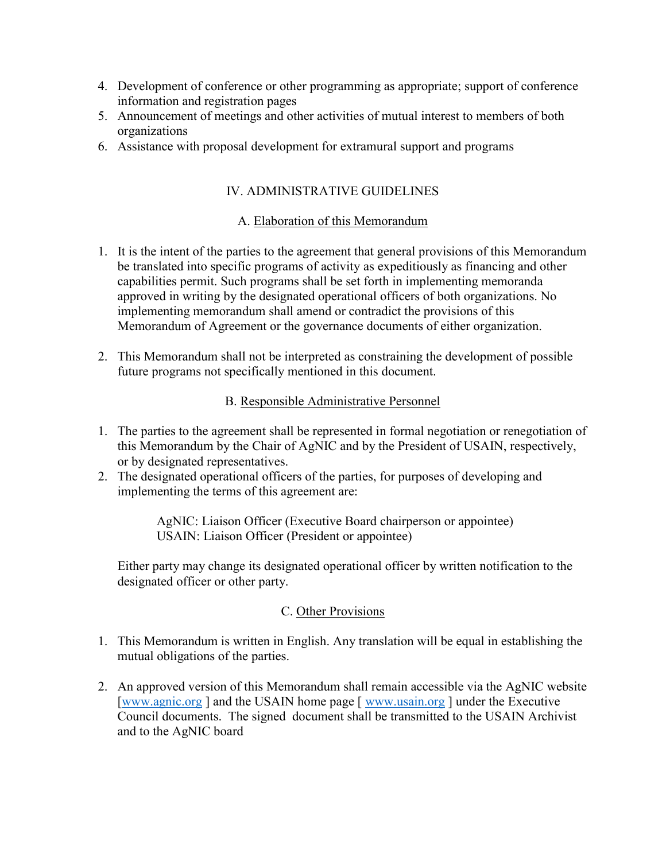- 4. Development of conference or other programming as appropriate; support of conference information and registration pages
- 5. Announcement of meetings and other activities of mutual interest to members of both organizations
- 6. Assistance with proposal development for extramural support and programs

# IV. ADMINISTRATIVE GUIDELINES

# A. Elaboration of this Memorandum

- 1. It is the intent of the parties to the agreement that general provisions of this Memorandum be translated into specific programs of activity as expeditiously as financing and other capabilities permit. Such programs shall be set forth in implementing memoranda approved in writing by the designated operational officers of both organizations. No implementing memorandum shall amend or contradict the provisions of this Memorandum of Agreement or the governance documents of either organization.
- 2. This Memorandum shall not be interpreted as constraining the development of possible future programs not specifically mentioned in this document.

# B. Responsible Administrative Personnel

- 1. The parties to the agreement shall be represented in formal negotiation or renegotiation of this Memorandum by the Chair of AgNIC and by the President of USAIN, respectively, or by designated representatives.
- 2. The designated operational officers of the parties, for purposes of developing and implementing the terms of this agreement are:

AgNIC: Liaison Officer (Executive Board chairperson or appointee) USAIN: Liaison Officer (President or appointee)

Either party may change its designated operational officer by written notification to the designated officer or other party.

### C. Other Provisions

- 1. This Memorandum is written in English. Any translation will be equal in establishing the mutual obligations of the parties.
- 2. An approved version of this Memorandum shall remain accessible via the AgNIC website [\[www.agnic.org](file:///C:/Users/britton.4/AppData/Local/Microsoft/Windows/Temporary%20Internet%20Files/Content.Outlook/B9EVE2LF/www.agnic.org) ] and the USAIN home page [ [www.usain.org](http://www.usain.org/) ] under the Executive Council documents. The signed document shall be transmitted to the USAIN Archivist and to the AgNIC board